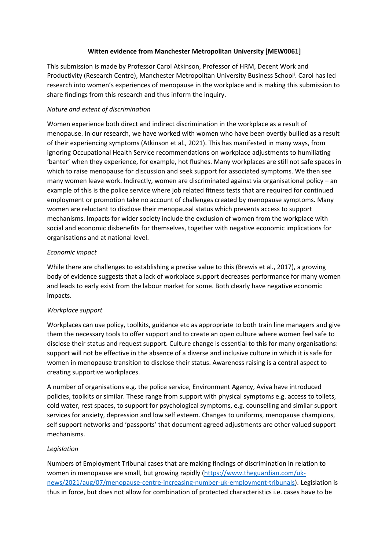## **Witten evidence from Manchester Metropolitan University [MEW0061]**

This submission is made by Professor Carol Atkinson, Professor of HRM, Decent Work and Productivity (Research Centre), Manchester Metropolitan University Business School<sup>i</sup>. Carol has led research into women's experiences of menopause in the workplace and is making this submission to share findings from this research and thus inform the inquiry.

# *Nature and extent of discrimination*

Women experience both direct and indirect discrimination in the workplace as a result of menopause. In our research, we have worked with women who have been overtly bullied as a result of their experiencing symptoms (Atkinson et al., 2021). This has manifested in many ways, from ignoring Occupational Health Service recommendations on workplace adjustments to humiliating 'banter' when they experience, for example, hot flushes. Many workplaces are still not safe spaces in which to raise menopause for discussion and seek support for associated symptoms. We then see many women leave work. Indirectly, women are discriminated against via organisational policy – an example of this is the police service where job related fitness tests that are required for continued employment or promotion take no account of challenges created by menopause symptoms. Many women are reluctant to disclose their menopausal status which prevents access to support mechanisms. Impacts for wider society include the exclusion of women from the workplace with social and economic disbenefits for themselves, together with negative economic implications for organisations and at national level.

# *Economic impact*

While there are challenges to establishing a precise value to this (Brewis et al., 2017), a growing body of evidence suggests that a lack of workplace support decreases performance for many women and leads to early exist from the labour market for some. Both clearly have negative economic impacts.

### *Workplace support*

Workplaces can use policy, toolkits, guidance etc as appropriate to both train line managers and give them the necessary tools to offer support and to create an open culture where women feel safe to disclose their status and request support. Culture change is essential to this for many organisations: support will not be effective in the absence of a diverse and inclusive culture in which it is safe for women in menopause transition to disclose their status. Awareness raising is a central aspect to creating supportive workplaces.

A number of organisations e.g. the police service, Environment Agency, Aviva have introduced policies, toolkits or similar. These range from support with physical symptoms e.g. access to toilets, cold water, rest spaces, to support for psychological symptoms, e.g. counselling and similar support services for anxiety, depression and low self esteem. Changes to uniforms, menopause champions, self support networks and 'passports' that document agreed adjustments are other valued support mechanisms.

### *Legislation*

Numbers of Employment Tribunal cases that are making findings of discrimination in relation to women in menopause are small, but growing rapidly ([https://www.theguardian.com/uk](https://www.theguardian.com/uk-news/2021/aug/07/menopause-centre-increasing-number-uk-employment-tribunals)[news/2021/aug/07/menopause-centre-increasing-number-uk-employment-tribunals\)](https://www.theguardian.com/uk-news/2021/aug/07/menopause-centre-increasing-number-uk-employment-tribunals). Legislation is thus in force, but does not allow for combination of protected characteristics i.e. cases have to be